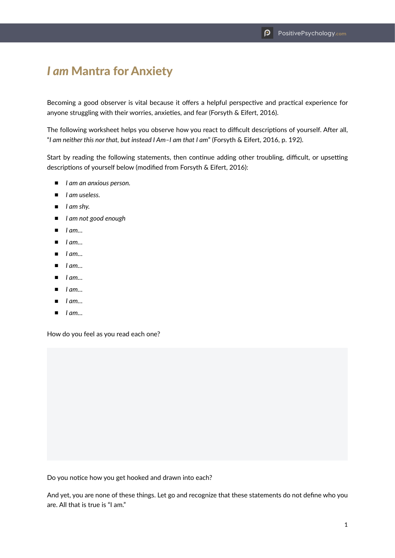## *I am* Mantra for Anxiety

Becoming a good observer is vital because it offers a helpful perspective and practical experience for anyone struggling with their worries, anxieties, and fear (Forsyth & Eifert, 2016).

The following worksheet helps you observe how you react to difficult descriptions of yourself. After all, "*I am neither this nor that, but instead I Am–I am that I am*" (Forsyth & Eifert, 2016, p. 192).

Start by reading the following statements, then continue adding other troubling, difficult, or upsetting descriptions of yourself below (modified from Forsyth & Eifert, 2016):

- *I am an anxious person.*
- *I am useless.*
- *I am shy.*
- *I am not good enough*
- *I am*...
- *I am*…
- *I am…*
- *I am*…
- *I am…*
- *I am…*
- *I am…*
- *I am*…

How do you feel as you read each one?

Do you notice how you get hooked and drawn into each?

And yet, you are none of these things. Let go and recognize that these statements do not define who you are. All that is true is "I am."